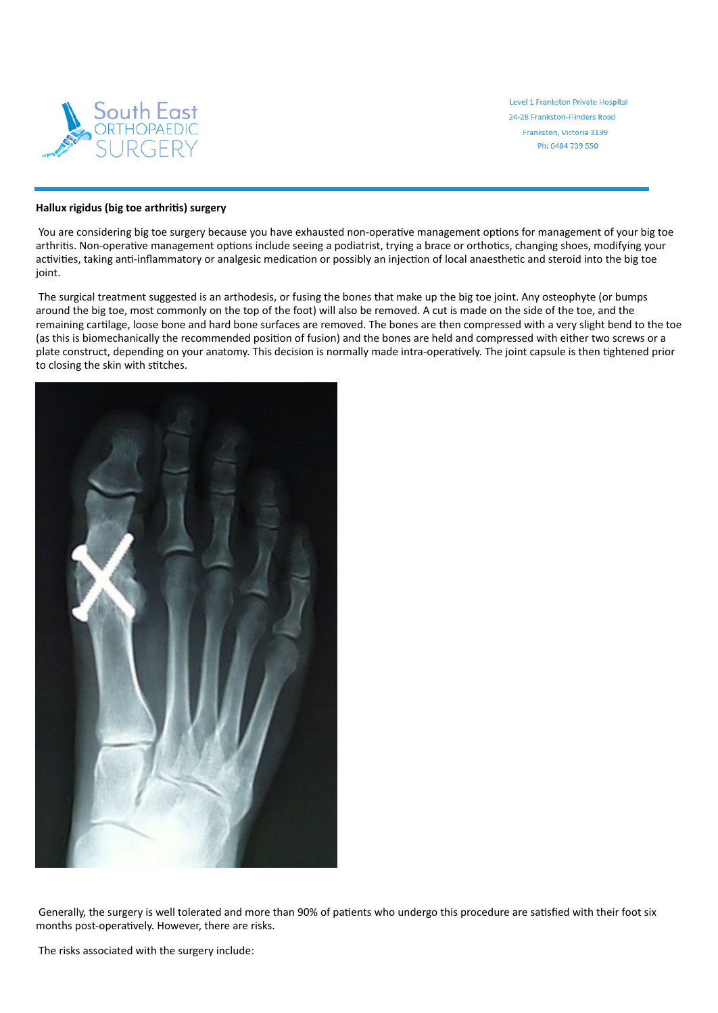

Level 1 Frankston Private Hospital 24-28 Frankston-Flinders Road Frankston, Victoria 3199 Ph: 0484 739 550

## **Hallux rigidus (big toe arthris) surgery**

You are considering big toe surgery because you have exhausted non-operative management options for management of your big toe arthritis. Non-operative management options include seeing a podiatrist, trying a brace or orthotics, changing shoes, modifying your activities, taking anti-inflammatory or analgesic medication or possibly an injection of local anaesthetic and steroid into the big toe joint.

The surgical treatment suggested is an arthodesis, or fusing the bones that make up the big toe joint. Any osteophyte (or bumps around the big toe, most commonly on the top of the foot) will also be removed. A cut is made on the side of the toe, and the remaining cartilage, loose bone and hard bone surfaces are removed. The bones are then compressed with a very slight bend to the toe (as this is biomechanically the recommended position of fusion) and the bones are held and compressed with either two screws or a plate construct, depending on your anatomy. This decision is normally made intra-operatively. The joint capsule is then tightened prior to closing the skin with stitches.



Generally, the surgery is well tolerated and more than 90% of patients who undergo this procedure are satisfied with their foot six months post-operatively. However, there are risks.

The risks associated with the surgery include: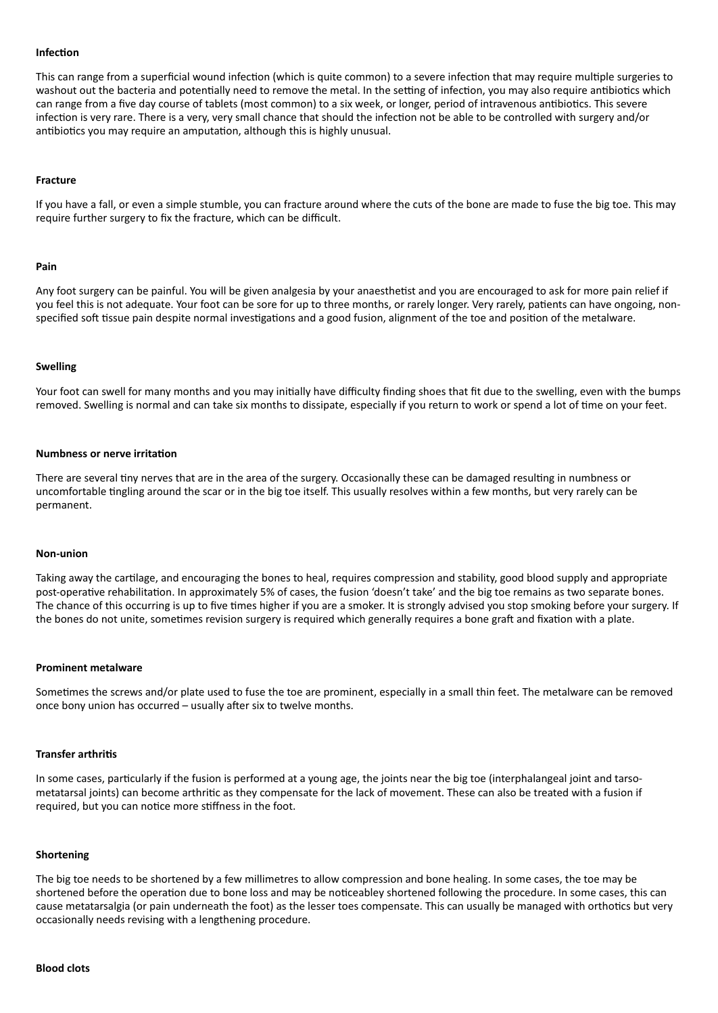## **Infection**

This can range from a superficial wound infection (which is quite common) to a severe infection that may require multiple surgeries to washout out the bacteria and potentially need to remove the metal. In the setting of infection, you may also require antibiotics which can range from a five day course of tablets (most common) to a six week, or longer, period of intravenous antibiotics. This severe infection is very rare. There is a very, very small chance that should the infection not be able to be controlled with surgery and/or antibiotics you may require an amputation, although this is highly unusual.

## **Fracture**

If you have a fall, or even a simple stumble, you can fracture around where the cuts of the bone are made to fuse the big toe. This may require further surgery to fix the fracture, which can be difficult.

### **Pain**

Any foot surgery can be painful. You will be given analgesia by your anaesthetist and you are encouraged to ask for more pain relief if you feel this is not adequate. Your foot can be sore for up to three months, or rarely longer. Very rarely, patients can have ongoing, nonspecified soft tissue pain despite normal investigations and a good fusion, alignment of the toe and position of the metalware.

## **Swelling**

Your foot can swell for many months and you may initially have difficulty finding shoes that fit due to the swelling, even with the bumps removed. Swelling is normal and can take six months to dissipate, especially if you return to work or spend a lot of time on your feet.

### **Numbness or nerve irritation**

There are several tiny nerves that are in the area of the surgery. Occasionally these can be damaged resulting in numbness or uncomfortable tingling around the scar or in the big toe itself. This usually resolves within a few months, but very rarely can be permanent.

## **Non‑union**

Taking away the cartilage, and encouraging the bones to heal, requires compression and stability, good blood supply and appropriate post-operative rehabilitation. In approximately 5% of cases, the fusion 'doesn't take' and the big toe remains as two separate bones. The chance of this occurring is up to five times higher if you are a smoker. It is strongly advised you stop smoking before your surgery. If the bones do not unite, sometimes revision surgery is required which generally requires a bone graft and fixation with a plate.

### **Prominent metalware**

Sometimes the screws and/or plate used to fuse the toe are prominent, especially in a small thin feet. The metalware can be removed once bony union has occurred - usually after six to twelve months.

### **Transfer arthris**

In some cases, particularly if the fusion is performed at a young age, the joints near the big toe (interphalangeal joint and tarsometatarsal joints) can become arthritic as they compensate for the lack of movement. These can also be treated with a fusion if required, but you can notice more stiffness in the foot.

### **Shortening**

The big toe needs to be shortened by a few millimetres to allow compression and bone healing. In some cases, the toe may be shortened before the operation due to bone loss and may be noticeabley shortened following the procedure. In some cases, this can cause metatarsalgia (or pain underneath the foot) as the lesser toes compensate. This can usually be managed with orthotics but very occasionally needs revising with a lengthening procedure.